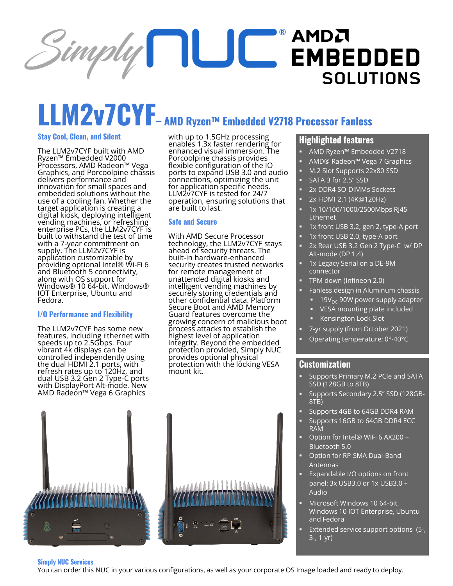# $\frac{3 \text{ imply}}{1 \text{ L}}$  EMBEDDED **SOLUTIONS**

# **LLM2v7CYF– AMD Ryzen™ Embedded V2718 Processor Fanless**

#### **Stay Cool, Clean, and Silent**

The LLM2v7CYF built with AMD Ryzen™ Embedded V2000 Processors, AMD Radeon™ Vega Graphics, and Porcoolpine chassis delivers performance and innovation for small spaces and embedded solutions without the use of a cooling fan. Whether the target application is creating a digital kiosk, deploying intelligent vending machines, or refreshing enterprise PCs, the LLM2v7CYF is built to withstand the test of time with a 7-year commitment on supply. The LLM2v7CYF is application customizable by providing optional Intel® Wi-Fi 6 and Bluetooth 5 connectivity, along with OS support for Windows® 10 64-bit, Windows® IOT Enterprise, Ubuntu and Fedora.

#### **I/O Performance and Flexibility**

The LLM2v7CYF has some new features, including Ethernet with speeds up to 2.5Gbps. Four vibrant 4k displays can be controlled independently using the dual HDMI 2.1 ports, with refresh rates up to 120Hz, and dual USB 3.2 Gen 2 Type-C ports with DisplayPort Alt-mode. New AMD Radeon™ Vega 6 Graphics

with up to 1.5GHz processing enables 1.3x faster rendering for enhanced visual immersion. The Porcoolpine chassis provides flexible configuration of the IO ports to expand USB 3.0 and audio connections, optimizing the unit for application specific needs. LLM2v7CYF is tested for 24/7 operation, ensuring solutions that are built to last.

#### **Safe and Secure**

With AMD Secure Processor technology, the LLM2v7CYF stays ahead of security threats. The built-in hardware-enhanced security creates trusted networks for remote management of unattended digital kiosks and intelligent vending machines by securely storing credentials and other confidential data. Platform Secure Boot and AMD Memory Guard features overcome the growing concern of malicious boot process attacks to establish the highest level of application integrity. Beyond the embedded protection provided, Simply NUC provides optional physical protection with the locking VESA mount kit.



# **Highlighted features**

- AMD Ryzen™ Embedded V2718
- AMD® Radeon™ Vega 7 Graphics
- M.2 Slot Supports 22x80 SSD
- SATA 3 for 2.5" SSD
- 2x DDR4 SO-DIMMs Sockets
- 2x HDMI 2.1 (4K@120Hz)
- 1x 10/100/1000/2500Mbps RJ45 Ethernet
- 1x front USB 3.2, gen 2, type-A port
- 1x front USB 2.0, type-A port
- 2x Rear USB 3.2 Gen 2 Type-C w/ DP Alt-mode (DP 1.4)
- 1x Legacy Serial on a DE-9M connector
- TPM down (Infineon 2.0)
	- Fanless design in Aluminum chassis
	- $19V_{\text{DC}}$  90W power supply adapter
	- VESA mounting plate included
	- Kensington Lock Slot
- 7-yr supply (from October 2021)
- Operating temperature: 0°-40°C

## **Customization**

- Supports Primary M.2 PCIe and SATA SSD (128GB to 8TB)
- Supports Secondary 2.5" SSD (128GB-8TB)
- Supports 4GB to 64GB DDR4 RAM
- Supports 16GB to 64GB DDR4 ECC RAM
- Option for Intel® WiFi 6 AX200 + Bluetooth 5.0
- Option for RP-SMA Dual-Band Antennas
- Expandable I/O options on front panel: 3x USB3.0 or 1x USB3.0 + Audio
- Microsoft Windows 10 64-bit, Windows 10 IOT Enterprise, Ubuntu and Fedora
- Extended service support options (5-, 3-, 1-yr)

#### **Simply NUC Services**

You can order this NUC in your various configurations, as well as your corporate OS Image loaded and ready to deploy.